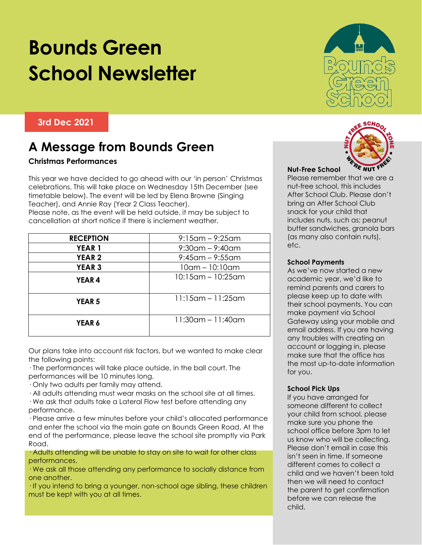# **Bounds Green School Newsletter**

#### **3rd Dec 2021**

### **A Message from Bounds Green**

#### **Christmas Performances**

This year we have decided to go ahead with our 'in person' Christmas celebrations. This will take place on Wednesday 15th December (see timetable below). The event will be led by Elena Browne (Singing Teacher), and Annie Ray (Year 2 Class Teacher).

Please note, as the event will be held outside, it may be subject to cancellation at short notice if there is inclement weather.

| <b>RECEPTION</b> | $9:15$ am – $9:25$ am |
|------------------|-----------------------|
| <b>YEAR 1</b>    | $9:30$ am – $9:40$ am |
| <b>YEAR 2</b>    | $9:45$ am – $9:55$ am |
| <b>YEAR 3</b>    | $10$ am $- 10:10$ am  |
| <b>YEAR4</b>     | 10:15am – 10:25am     |
| <b>YEAR 5</b>    | $11:15$ am - 11:25am  |
| YEAR 6           | $11:30$ am - 11:40am  |

Our plans take into account risk factors, but we wanted to make clear the following points:

· The performances will take place outside, in the ball court. The performances will be 10 minutes long.

· Only two adults per family may attend.

· All adults attending must wear masks on the school site at all times.

· We ask that adults take a Lateral Flow test before attending any performance.

· Please arrive a few minutes before your child's allocated performance and enter the school via the main gate on Bounds Green Road. At the end of the performance, please leave the school site promptly via Park Road.

· Adults attending will be unable to stay on site to wait for other class performances.

· We ask all those attending any performance to socially distance from one another.

· If you intend to bring a younger, non-school age sibling, these children must be kept with you at all times.





#### **Nut-Free School**

Please remember that we are a nut-free school, this includes After School Club. Please don't bring an After School Club snack for your child that includes nuts, such as; peanut butter sandwiches, granola bars (as many also contain nuts), etc.

#### **School Payments**

As we've now started a new academic year, we'd like to remind parents and carers to please keep up to date with their school payments. You can make payment via School Gateway using your mobile and email address. If you are having any troubles with creating an account or logging in, please make sure that the office has the most up-to-date information for you.

#### **School Pick Ups**

If you have arranged for someone different to collect your child from school, please make sure you phone the school office before 3pm to let us know who will be collecting. Please don't email in case this isn't seen in time. If someone different comes to collect a child and we haven't been told then we will need to contact the parent to get confirmation before we can release the child.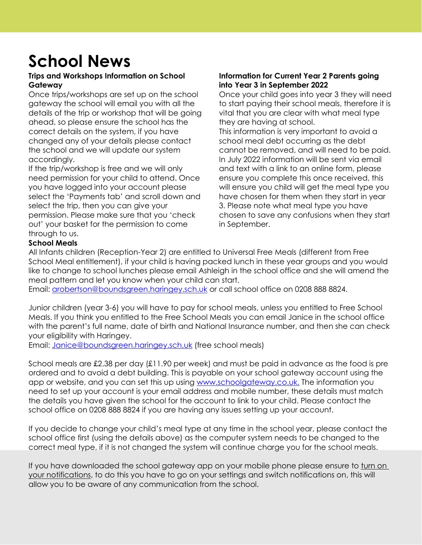## **School News**

#### **Trips and Workshops Information on School Gateway**

Once trips/workshops are set up on the school gateway the school will email you with all the details of the trip or workshop that will be going ahead, so please ensure the school has the correct details on the system, if you have changed any of your details please contact the school and we will update our system accordingly.

If the trip/workshop is free and we will only need permission for your child to attend. Once you have logged into your account please select the 'Payments tab' and scroll down and select the trip, then you can give your permission. Please make sure that you 'check out' your basket for the permission to come through to us.

#### **Information for Current Year 2 Parents going into Year 3 in September 2022**

Once your child goes into year 3 they will need to start paying their school meals, therefore it is vital that you are clear with what meal type they are having at school. This information is very important to avoid a school meal debt occurring as the debt cannot be removed, and will need to be paid. In July 2022 information will be sent via email and text with a link to an online form, please ensure you complete this once received, this will ensure you child will get the meal type you have chosen for them when they start in year 3. Please note what meal type you have chosen to save any confusions when they start in September.

#### **School Meals**

All Infants children (Reception-Year 2) are entitled to Universal Free Meals (different from Free School Meal entitlement), if your child is having packed lunch in these year groups and you would like to change to school lunches please email Ashleigh in the school office and she will amend the meal pattern and let you know when your child can start.

Email: [arobertson@boundsgreen.haringey.sch.uk](mailto:arobertson@boundsgreen.haringey.sch.uk) or call school office on 0208 888 8824.

Junior children (year 3-6) you will have to pay for school meals, unless you entitled to Free School Meals. If you think you entitled to the Free School Meals you can email Janice in the school office with the parent's full name, date of birth and National Insurance number, and then she can check your eligibility with Haringey.

Email: [Janice@boundsgreen.haringey.sch.uk](mailto:Janice@boundsgreen.haringey.sch.uk) (free school meals)

School meals are £2.38 per day (£11.90 per week) and must be paid in advance as the food is pre ordered and to avoid a debt building. This is payable on your school gateway account using the app or website, and you can set this up using [www.schoolgateway.co.uk.](http://www.schoolgateway.co.uk/) The information you need to set up your account is your email address and mobile number, these details must match the details you have given the school for the account to link to your child. Please contact the school office on 0208 888 8824 if you are having any issues setting up your account.

If you decide to change your child's meal type at any time in the school year, please contact the school office first (using the details above) as the computer system needs to be changed to the correct meal type, if it is not changed the system will continue charge you for the school meals.

If you have downloaded the school gateway app on your mobile phone please ensure to turn on your notifications, to do this you have to go on your settings and switch notifications on, this will allow you to be aware of any communication from the school.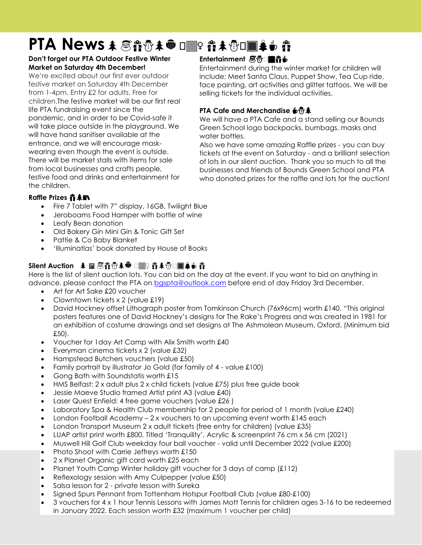### **PTA News** ⛄️ ♀️ ⛄️☕️

#### **Don't forget our PTA Outdoor Festive Winter Market on Saturday 4th December!**

We're excited about our first ever outdoor festive market on Saturday 4th December from 1-4pm. Entry £2 for adults. Free for children.The festive market will be our first real life PTA fundraising event since the pandemic, and in order to be Covid-safe it will take place outside in the playground. We will have hand sanitiser available at the entrance, and we will encourage maskwearing even though the event is outside. There will be market stalls with items for sale from local businesses and crafts people, festive food and drinks and entertainment for the children.

#### **Entertainment 感雷□■音も**

Entertainment during the winter market for children will include; Meet Santa Claus, Puppet Show, Tea Cup ride, face painting, art activities and glitter tattoos. We will be selling tickets for the individual activities.

#### **PTA Cafe and Merchandise <a>
<b>**

We will have a PTA Cafe and a stand selling our Bounds Green School logo backpacks, bumbags, masks and water bottles.

Also we have some amazing Raffle prizes - you can buy tickets at the event on Saturday - and a brilliant selection of lots in our silent auction. Thank you so much to all the businesses and friends of Bounds Green School and PTA who donated prizes for the raffle and lots for the auction!

#### **Raffle Prizes**

- Fire 7 Tablet with 7" display, 16GB, Twilight Blue
- Jeroboams Food Hamper with bottle of wine
- Leafy Bean donation
- Old Bakery Gin Mini Gin & Tonic Gift Set
- Pattie & Co Baby Blanket
- 'Illuminatlas' book donated by House of Books

#### **Silent Auction**  ⛄️ ♀️ ⛄️☕️

Here is the list of silent auction lots. You can bid on the day at the event. If you want to bid on anything in advance, please contact the PTA on [bgspta@outlook.com](mailto:bgspta@outlook.com) before end of day Friday 3rd December.

- Art for Art Sake £20 voucher
- Clowntown tickets x 2 (value £19)
- David Hockney offset Lithograph poster from Tomkinson Church (76x96cm) worth £140. "This original posters features one of David Hockney's designs for The Rake's Progress and was created in 1981 for an exhibition of costume drawings and set designs at The Ashmolean Museum, Oxford. (Minimum bid £50).
- Voucher for 1day Art Camp with Alix Smith worth £40
- Everyman cinema tickets x 2 (value £32)
- Hampstead Butchers vouchers (value £50)
- Family portrait by illustrator Jo Gold (for family of 4 value £100)
- Gong Bath with Soundstatis worth £15
- $\bullet$  HMS Belfast: 2 x adult plus 2 x child tickets (value £75) plus free quide book
- Jessie Maeve Studio framed Artist print A3 (value £40)
- Laser Quest Enfield: 4 free game vouchers (value £26 )
- Laboratory Spa & Health Club membership for 2 people for period of 1 month (value £240)
- London Football Academy  $-2x$  vouchers to an upcoming event worth £145 each
- London Transport Museum 2 x adult tickets (free entry for children) (value £35)
- LUAP artist print worth £800. Titled 'Tranquility', Acrylic & screenprint 76 cm x 56 cm (2021)
- Muswell Hill Golf Club weekday four ball voucher valid until December 2022 (value £200)
- Photo Shoot with Carrie Jeffreys worth £150
- 2 x Planet Organic gift card worth £25 each
- Planet Youth Camp Winter holiday gift voucher for 3 days of camp  $(f112)$
- Reflexology session with Amy Culpepper (value £50)
- Salsa lesson for 2 private lesson with Sureka
- Signed Spurs Pennant from Tottenham Hotspur Football Club (value £80-£100)
- 3 vouchers for 4 x 1 hour Tennis Lessons with James Mott Tennis for children ages 3-16 to be redeemed in January 2022. Each session worth £32 (maximum 1 voucher per child)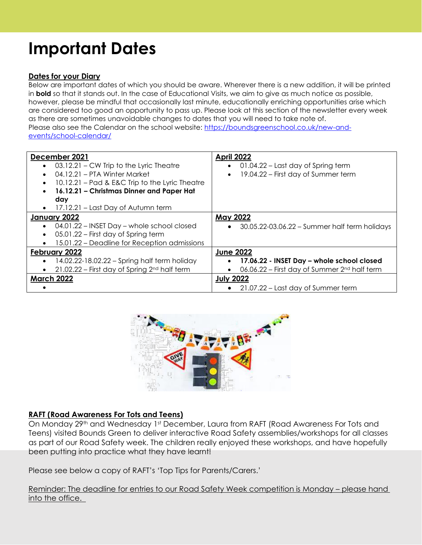### **Important Dates**

#### **Dates for your Diary**

Below are important dates of which you should be aware. Wherever there is a new addition, it will be printed in **bold** so that it stands out. In the case of Educational Visits, we aim to give as much notice as possible, however, please be mindful that occasionally last minute, educationally enriching opportunities arise which are considered too good an opportunity to pass up. Please look at this section of the newsletter every week as there are sometimes unavoidable changes to dates that you will need to take note of. Please also see the Calendar on the school website: [https://boundsgreenschool.co.uk/new-and](https://boundsgreenschool.co.uk/new-and-events/school-calendar/)[events/school-calendar/](https://boundsgreenschool.co.uk/new-and-events/school-calendar/)

| December 2021                                                 | <b>April 2022</b>                                          |
|---------------------------------------------------------------|------------------------------------------------------------|
| • 03.12.21 – CW Trip to the Lyric Theatre                     | 01.04.22 – Last day of Spring term<br>$\bullet$            |
| 04.12.21 – PTA Winter Market<br>$\bullet$                     | 19.04.22 – First day of Summer term<br>$\bullet$           |
| 10.12.21 – Pad & E&C Trip to the Lyric Theatre<br>$\bullet$   |                                                            |
| 16.12.21 - Christmas Dinner and Paper Hat<br>$\bullet$        |                                                            |
| day                                                           |                                                            |
| 17.12.21 – Last Day of Autumn term<br>$\bullet$               |                                                            |
| January 2022                                                  | <b>May 2022</b>                                            |
| 04.01.22 – INSET Day – whole school closed<br>$\bullet$       | 30.05.22-03.06.22 - Summer half term holidays<br>$\bullet$ |
| 05.01.22 – First day of Spring term<br>$\bullet$              |                                                            |
| 15.01.22 – Deadline for Reception admissions<br>$\bullet$     |                                                            |
| February 2022                                                 | <b>June 2022</b>                                           |
| 14.02.22-18.02.22 - Spring half term holiday<br>$\bullet$     | 17.06.22 - INSET Day - whole school closed                 |
| $21.02.22$ – First day of Spring $2nd$ half term<br>$\bullet$ | 06.06.22 – First day of Summer 2 <sup>nd</sup> half term   |
| <b>March 2022</b>                                             | <b>July 2022</b>                                           |
|                                                               | • 21.07.22 – Last day of Summer term                       |



#### **RAFT (Road Awareness For Tots and Teens)**

On Monday 29<sup>th</sup> and Wednesday 1st December, Laura from RAFT (Road Awareness For Tots and Teens) visited Bounds Green to deliver interactive Road Safety assemblies/workshops for all classes as part of our Road Safety week. The children really enjoyed these workshops, and have hopefully been putting into practice what they have learnt!

Please see below a copy of RAFT's 'Top Tips for Parents/Carers.'

Reminder: The deadline for entries to our Road Safety Week competition is Monday – please hand into the office.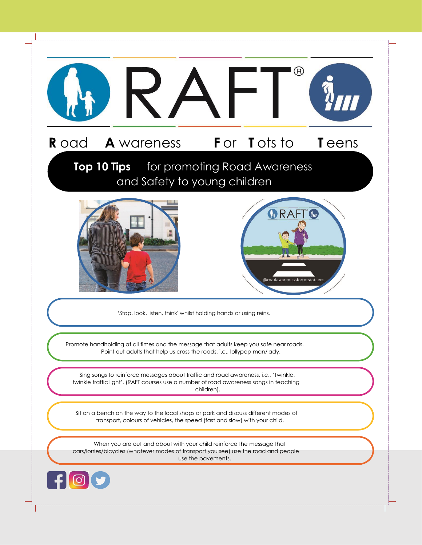